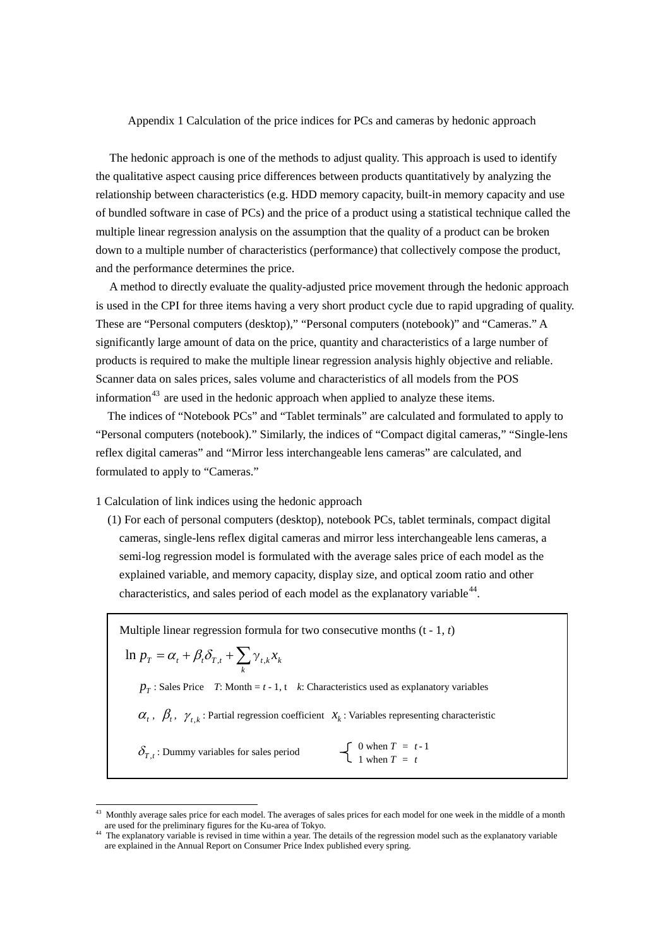Appendix 1 Calculation of the price indices for PCs and cameras by hedonic approach

The hedonic approach is one of the methods to adjust quality. This approach is used to identify the qualitative aspect causing price differences between products quantitatively by analyzing the relationship between characteristics (e.g. HDD memory capacity, built-in memory capacity and use of bundled software in case of PCs) and the price of a product using a statistical technique called the multiple linear regression analysis on the assumption that the quality of a product can be broken down to a multiple number of characteristics (performance) that collectively compose the product, and the performance determines the price.

A method to directly evaluate the quality-adjusted price movement through the hedonic approach is used in the CPI for three items having a very short product cycle due to rapid upgrading of quality. These are "Personal computers (desktop)," "Personal computers (notebook)" and "Cameras." A significantly large amount of data on the price, quantity and characteristics of a large number of products is required to make the multiple linear regression analysis highly objective and reliable. Scanner data on sales prices, sales volume and characteristics of all models from the POS information<sup>[43](#page-0-0)</sup> are used in the hedonic approach when applied to analyze these items.

The indices of "Notebook PCs" and "Tablet terminals" are calculated and formulated to apply to "Personal computers (notebook)." Similarly, the indices of "Compact digital cameras," "Single-lens reflex digital cameras" and "Mirror less interchangeable lens cameras" are calculated, and formulated to apply to "Cameras."

1 Calculation of link indices using the hedonic approach

(1) For each of personal computers (desktop), notebook PCs, tablet terminals, compact digital cameras, single-lens reflex digital cameras and mirror less interchangeable lens cameras, a semi-log regression model is formulated with the average sales price of each model as the explained variable, and memory capacity, display size, and optical zoom ratio and other characteristics, and sales period of each model as the explanatory variable  $44$ .

Multiple linear regression formula for two consecutive months (t - 1, *t*)  $p_T$ : Sales Price *T*: Month =  $t$  - 1, t *k*: Characteristics used as explanatory variables  $\alpha_t$ ,  $\beta_t$ ,  $\gamma_{t,k}$ : Partial regression coefficient  $x_k$ : Variables representing characteristic  $\delta_{T}$ , : Dummy variables for sales period 0 when  $T = t - 1$ 1 when  $T = t$  $= \alpha_{t} + \beta_{t} \delta_{T,t} + \sum_{k}$  $\ln p_{T} = \alpha_{t} + \beta_{t} \delta_{T,t} + \sum_{k} \gamma_{t,k} x_{k}$ 

<span id="page-0-0"></span><sup>43</sup> Monthly average sales price for each model. The averages of sales prices for each model for one week in the middle of <sup>a</sup> month are used for the preliminary figures for the Ku-area of Tokyo.

<span id="page-0-1"></span><sup>&</sup>lt;sup>44</sup> The explanatory variable is revised in time within a year. The details of the regression model such as the explanatory variable are explained in the Annual Report on Consumer Price Index published every spring.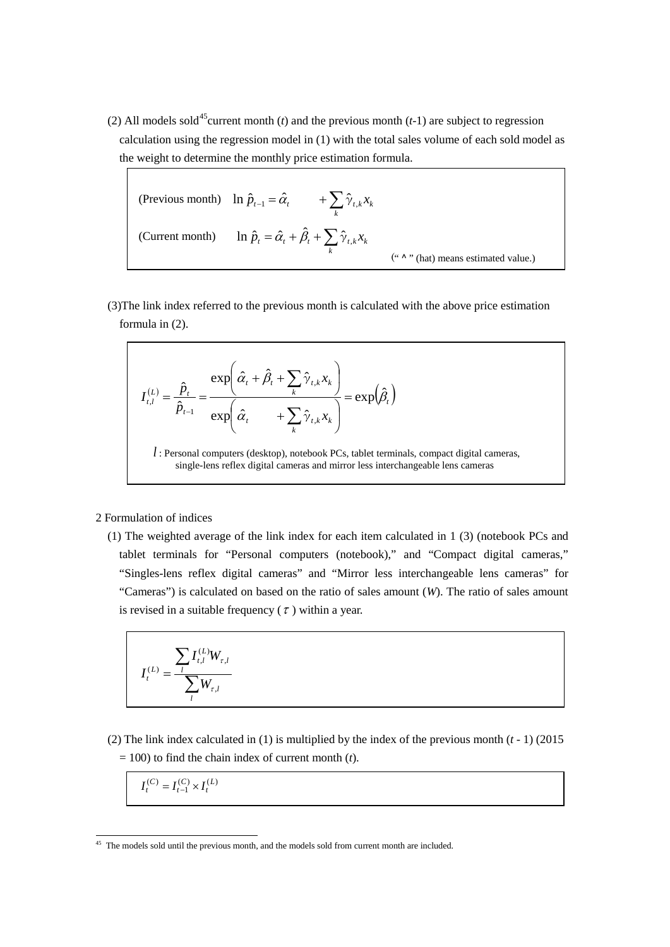(2) All models sold<sup>[45](#page-1-0)</sup>current month (*t*) and the previous month (*t*-1) are subject to regression calculation using the regression model in (1) with the total sales volume of each sold model as the weight to determine the monthly price estimation formula.

(Previous month) 
$$
\ln \hat{p}_{t-1} = \hat{\alpha}_t + \sum_k \hat{\gamma}_{t,k} x_k
$$
  
(Current month)  $\ln \hat{p}_t = \hat{\alpha}_t + \hat{\beta}_t + \sum_k \hat{\gamma}_{t,k} x_k$  (*" A" (hat) means estimated value.)*

(3)The link index referred to the previous month is calculated with the above price estimation formula in (2).

$$
I_{t,l}^{(L)} = \frac{\hat{p}_t}{\hat{p}_{t-1}} = \frac{\exp\left(\hat{\alpha}_t + \hat{\beta}_t + \sum_k \hat{\gamma}_{t,k} x_k\right)}{\exp\left(\hat{\alpha}_t + \sum_k \hat{\gamma}_{t,k} x_k\right)} = \exp\left(\hat{\beta}_t\right)
$$

*l* : Personal computers (desktop), notebook PCs, tablet terminals, compact digital cameras, single-lens reflex digital cameras and mirror less interchangeable lens cameras

## 2 Formulation of indices

(1) The weighted average of the link index for each item calculated in 1 (3) (notebook PCs and tablet terminals for "Personal computers (notebook)," and "Compact digital cameras," "Singles-lens reflex digital cameras" and "Mirror less interchangeable lens cameras" for "Cameras") is calculated on based on the ratio of sales amount (*W*). The ratio of sales amount is revised in a suitable frequency  $(\tau)$  within a year.

$$
I_t^{(L)} = \frac{\sum_{l} I_{t,l}^{(L)} W_{\tau,l}}{\sum_{l} W_{\tau,l}}
$$

(2) The link index calculated in (1) is multiplied by the index of the previous month  $(t - 1)$  (2015)  $= 100$ ) to find the chain index of current month (*t*).

$$
I_t^{(C)} = I_{t-1}^{(C)} \times I_t^{(L)}
$$

<span id="page-1-0"></span><sup>&</sup>lt;sup>45</sup> The models sold until the previous month, and the models sold from current month are included.